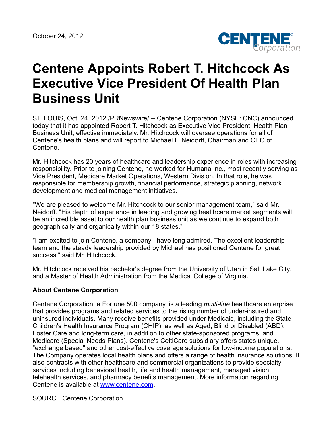

## **Centene Appoints Robert T. Hitchcock As Executive Vice President Of Health Plan Business Unit**

ST. LOUIS, Oct. 24, 2012 /PRNewswire/ -- Centene Corporation (NYSE: CNC) announced today that it has appointed Robert T. Hitchcock as Executive Vice President, Health Plan Business Unit, effective immediately. Mr. Hitchcock will oversee operations for all of Centene's health plans and will report to Michael F. Neidorff, Chairman and CEO of Centene.

Mr. Hitchcock has 20 years of healthcare and leadership experience in roles with increasing responsibility. Prior to joining Centene, he worked for Humana Inc., most recently serving as Vice President, Medicare Market Operations, Western Division. In that role, he was responsible for membership growth, financial performance, strategic planning, network development and medical management initiatives.

"We are pleased to welcome Mr. Hitchcock to our senior management team," said Mr. Neidorff. "His depth of experience in leading and growing healthcare market segments will be an incredible asset to our health plan business unit as we continue to expand both geographically and organically within our 18 states."

"I am excited to join Centene, a company I have long admired. The excellent leadership team and the steady leadership provided by Michael has positioned Centene for great success," said Mr. Hitchcock.

Mr. Hitchcock received his bachelor's degree from the University of Utah in Salt Lake City, and a Master of Health Administration from the Medical College of Virginia.

## **About Centene Corporation**

Centene Corporation, a Fortune 500 company, is a leading *multi-line* healthcare enterprise that provides programs and related services to the rising number of under-insured and uninsured individuals. Many receive benefits provided under Medicaid, including the State Children's Health Insurance Program (CHIP), as well as Aged, Blind or Disabled (ABD), Foster Care and long-term care, in addition to other state-sponsored programs, and Medicare (Special Needs Plans). Centene's CeltiCare subsidiary offers states unique, "exchange based" and other cost-effective coverage solutions for low-income populations. The Company operates local health plans and offers a range of health insurance solutions. It also contracts with other healthcare and commercial organizations to provide specialty services including behavioral health, life and health management, managed vision, telehealth services, and pharmacy benefits management. More information regarding Centene is available at [www.centene.com](http://www.centene.com/).

SOURCE Centene Corporation